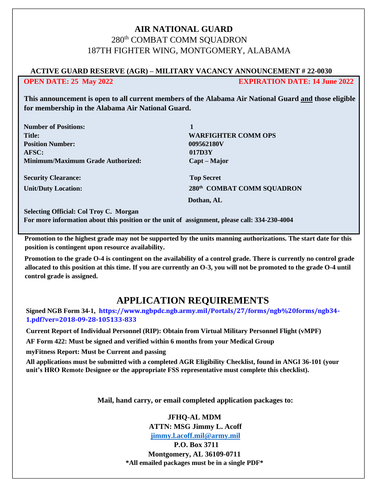# **AIR NATIONAL GUARD** 280th COMBAT COMM SQUADRON 187TH FIGHTER WING, MONTGOMERY, ALABAMA

## **ACTIVE GUARD RESERVE (AGR) – MILITARY VACANCY ANNOUNCEMENT # 22-0030 OPEN DATE: 25 May 2022 EXPIRATION DATE: 14 June 2022**

**This announcement is open to all current members of the Alabama Air National Guard and those eligible for membership in the Alabama Air National Guard.** 

| <b>Number of Positions:</b><br><b>Title:</b><br><b>Position Number:</b><br>AFSC:<br><b>Minimum/Maximum Grade Authorized:</b> | 1<br><b>WARFIGHTER COMM OPS</b><br>009562180V<br>017D3Y<br>Capt – Major |                            |                            |
|------------------------------------------------------------------------------------------------------------------------------|-------------------------------------------------------------------------|----------------------------|----------------------------|
|                                                                                                                              |                                                                         | <b>Security Clearance:</b> | <b>Top Secret</b>          |
|                                                                                                                              |                                                                         | <b>Unit/Duty Location:</b> | 280th COMBAT COMM SQUADRON |
|                                                                                                                              |                                                                         |                            | Dothan, AL                 |

**Selecting Official: Col Troy C. Morgan For more information about this position or the unit of assignment, please call: 334-230-4004**

**Promotion to the highest grade may not be supported by the units manning authorizations. The start date for this position is contingent upon resource availability.** 

**Promotion to the grade O-4 is contingent on the availability of a control grade. There is currently no control grade allocated to this position at this time. If you are currently an O-3, you will not be promoted to the grade O-4 until control grade is assigned.** 

# **APPLICATION REQUIREMENTS**

**Signed NGB Form 34-1, https://www.ngbpdc.ngb.army.mil/Portals/27/forms/ngb%20forms/ngb34- 1.pdf?ver=2018-09-28-105133-833**

**Current Report of Individual Personnel (RIP): Obtain from Virtual Military Personnel Flight (vMPF)** 

**AF Form 422: Must be signed and verified within 6 months from your Medical Group** 

**myFitness Report: Must be Current and passing** 

**All applications must be submitted with a completed AGR Eligibility Checklist, found in ANGI 36-101 (your unit's HRO Remote Designee or the appropriate FSS representative must complete this checklist).** 

**Mail, hand carry, or email completed application packages to:** 

### **JFHQ-AL MDM**

**ATTN: MSG Jimmy L. Acoff**

**[jimmy.l.acoff.mil@army.mil](mailto:jimmy.l.acoff.mil@army.mil)**

**P.O. Box 3711** 

**Montgomery, AL 36109-0711 \*All emailed packages must be in a single PDF\***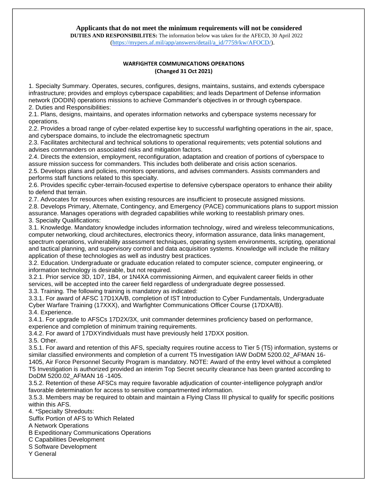#### **Applicants that do not meet the minimum requirements will not be considered DUTIES AND RESPONSIBILITES:** The information below was taken for the AFECD, 30 April 2022 [\(](https://mypers.af.mil/ci/fattach/get/9910080/1555961061/redirect/1/filename/AFECD%2030%20Apr%2019%20Finalv3.pdf)[https://mypers.af.mil/app/answers/detail/a\\_id/7759/kw/AFOCD/\)](https://mypers.af.mil/app/answers/detail/a_id/7759/kw/AFOCD/).

#### **WARFIGHTER COMMUNICATIONS OPERATIONS (Changed 31 Oct 2021)**

1. Specialty Summary. Operates, secures, configures, designs, maintains, sustains, and extends cyberspace infrastructure; provides and employs cyberspace capabilities; and leads Department of Defense information network (DODIN) operations missions to achieve Commander's objectives in or through cyberspace. 2. Duties and Responsibilities:

2.1. Plans, designs, maintains, and operates information networks and cyberspace systems necessary for operations.

2.2. Provides a broad range of cyber-related expertise key to successful warfighting operations in the air, space, and cyberspace domains, to include the electromagnetic spectrum

2.3. Facilitates architectural and technical solutions to operational requirements; vets potential solutions and advises commanders on associated risks and mitigation factors.

2.4. Directs the extension, employment, reconfiguration, adaptation and creation of portions of cyberspace to assure mission success for commanders. This includes both deliberate and crisis action scenarios.

2.5. Develops plans and policies, monitors operations, and advises commanders. Assists commanders and performs staff functions related to this specialty.

2.6. Provides specific cyber-terrain-focused expertise to defensive cyberspace operators to enhance their ability to defend that terrain.

2.7. Advocates for resources when existing resources are insufficient to prosecute assigned missions.

2.8. Develops Primary, Alternate, Contingency, and Emergency (PACE) communications plans to support mission assurance. Manages operations with degraded capabilities while working to reestablish primary ones.

3. Specialty Qualifications:

3.1. Knowledge. Mandatory knowledge includes information technology, wired and wireless telecommunications, computer networking, cloud architectures, electronics theory, information assurance, data links management, spectrum operations, vulnerability assessment techniques, operating system environments, scripting, operational and tactical planning, and supervisory control and data acquisition systems. Knowledge will include the military application of these technologies as well as industry best practices.

3.2. Education. Undergraduate or graduate education related to computer science, computer engineering, or information technology is desirable, but not required.

3.2.1. Prior service 3D, 1D7, 1B4, or 1N4XA commissioning Airmen, and equivalent career fields in other services, will be accepted into the career field regardless of undergraduate degree possessed. 3.3. Training. The following training is mandatory as indicated:

3.3.1. For award of AFSC 17D1XA/B, completion of IST Introduction to Cyber Fundamentals, Undergraduate Cyber Warfare Training (17XXX), and Warfighter Communications Officer Course (17DXA/B). 3.4. Experience.

3.4.1. For upgrade to AFSCs 17D2X/3X, unit commander determines proficiency based on performance, experience and completion of minimum training requirements.

3.4.2. For award of 17DXYindividuals must have previously held 17DXX position.

3.5. Other.

3.5.1. For award and retention of this AFS, specialty requires routine access to Tier 5 (T5) information, systems or similar classified environments and completion of a current T5 Investigation IAW DoDM 5200.02 AFMAN 16-1405, Air Force Personnel Security Program is mandatory. NOTE: Award of the entry level without a completed T5 Investigation is authorized provided an interim Top Secret security clearance has been granted according to DoDM 5200.02\_AFMAN 16 -1405.

3.5.2. Retention of these AFSCs may require favorable adjudication of counter-intelligence polygraph and/or favorable determination for access to sensitive compartmented information.

3.5.3. Members may be required to obtain and maintain a Flying Class III physical to qualify for specific positions within this AFS.

4. \*Specialty Shredouts:

Suffix Portion of AFS to Which Related

A Network Operations

B Expeditionary Communications Operations

C Capabilities Development

S Software Development

Y General